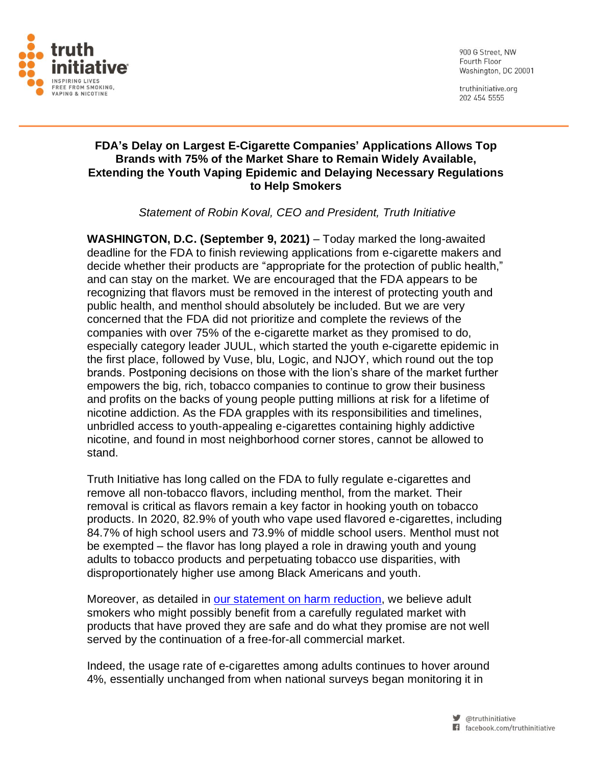

900 G Street, NW Fourth Floor Washington, DC 20001

truthinitiative.org 202 454 5555

## **FDA's Delay on Largest E-Cigarette Companies' Applications Allows Top Brands with 75% of the Market Share to Remain Widely Available, Extending the Youth Vaping Epidemic and Delaying Necessary Regulations to Help Smokers**

*Statement of Robin Koval, CEO and President, Truth Initiative*

**WASHINGTON, D.C. (September 9, 2021)** – Today marked the long-awaited deadline for the FDA to finish reviewing applications from e-cigarette makers and decide whether their products are "appropriate for the protection of public health," and can stay on the market. We are encouraged that the FDA appears to be recognizing that flavors must be removed in the interest of protecting youth and public health, and menthol should absolutely be included. But we are very concerned that the FDA did not prioritize and complete the reviews of the companies with over 75% of the e-cigarette market as they promised to do, especially category leader JUUL, which started the youth e-cigarette epidemic in the first place, followed by Vuse, blu, Logic, and NJOY, which round out the top brands. Postponing decisions on those with the lion's share of the market further empowers the big, rich, tobacco companies to continue to grow their business and profits on the backs of young people putting millions at risk for a lifetime of nicotine addiction. As the FDA grapples with its responsibilities and timelines, unbridled access to youth-appealing e-cigarettes containing highly addictive nicotine, and found in most neighborhood corner stores, cannot be allowed to stand.

Truth Initiative has long called on the FDA to fully regulate e-cigarettes and remove all non-tobacco flavors, including menthol, from the market. Their removal is critical as flavors remain a key factor in hooking youth on tobacco products. In 2020, 82.9% of youth who vape used flavored e-cigarettes, including 84.7% of high school users and 73.9% of middle school users. Menthol must not be exempted – the flavor has long played a role in drawing youth and young adults to tobacco products and perpetuating tobacco use disparities, with disproportionately higher use among Black Americans and youth.

Moreover, as detailed in [our statement on harm reduction,](https://truthinitiative.org/our-top-issues/truth-initiative-statement-harm-reduction) we believe adult smokers who might possibly benefit from a carefully regulated market with products that have proved they are safe and do what they promise are not well served by the continuation of a free-for-all commercial market.

Indeed, the usage rate of e-cigarettes among adults continues to hover around 4%, essentially unchanged from when national surveys began monitoring it in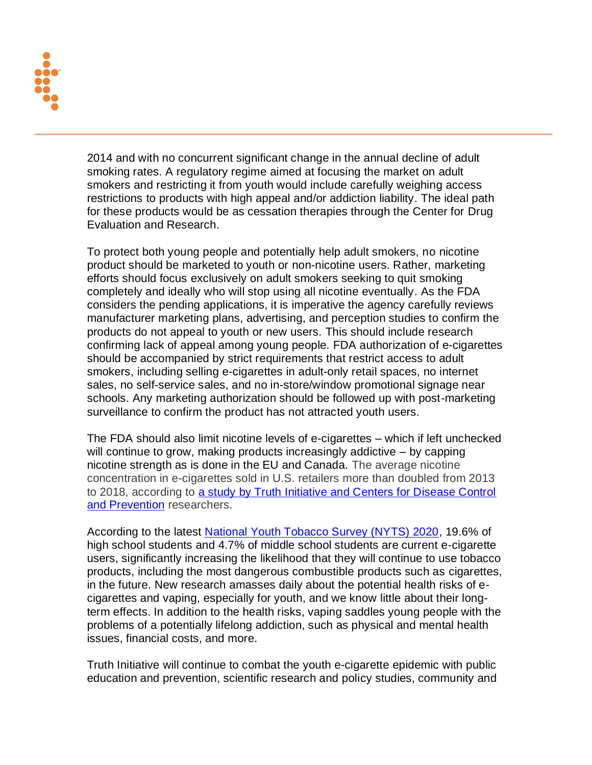

2014 and with no concurrent significant change in the annual decline of adult smoking rates. A regulatory regime aimed at focusing the market on adult smokers and restricting it from youth would include carefully weighing access restrictions to products with high appeal and/or addiction liability. The ideal path for these products would be as cessation therapies through the Center for Drug Evaluation and Research.

To protect both young people and potentially help adult smokers, no nicotine product should be marketed to youth or non-nicotine users. Rather, marketing efforts should focus exclusively on adult smokers seeking to quit smoking completely and ideally who will stop using all nicotine eventually. As the FDA considers the pending applications, it is imperative the agency carefully reviews manufacturer marketing plans, advertising, and perception studies to confirm the products do not appeal to youth or new users. This should include research confirming lack of appeal among young people. FDA authorization of e-cigarettes should be accompanied by strict requirements that restrict access to adult smokers, including selling e-cigarettes in adult-only retail spaces, no internet sales, no self-service sales, and no in-store/window promotional signage near schools. Any marketing authorization should be followed up with post-marketing surveillance to confirm the product has not attracted youth users.

The FDA should also limit nicotine levels of e-cigarettes – which if left unchecked will continue to grow, making products increasingly addictive – by capping nicotine strength as is done in the EU and Canada. The average nicotine concentration in e-cigarettes sold in U.S. retailers more than doubled from 2013 to 2018, according to [a study by Truth Initiative and Centers for Disease Control](https://www.sciencedirect.com/science/article/abs/pii/S0376871619302571)  [and Prevention](https://www.sciencedirect.com/science/article/abs/pii/S0376871619302571) researchers.

According to the latest [National Youth Tobacco Survey \(NYTS\) 2020,](https://www.cdc.gov/mmwr/volumes/69/wr/mm6937e1.htm?s_cid=mm6937e1_w) 19.6% of high school students and 4.7% of middle school students are current e-cigarette users, significantly increasing the likelihood that they will continue to use tobacco products, including the most dangerous combustible products such as cigarettes, in the future. New research amasses daily about the potential health risks of ecigarettes and vaping, especially for youth, and we know little about their longterm effects. In addition to the health risks, vaping saddles young people with the problems of a potentially lifelong addiction, such as physical and mental health issues, financial costs, and more.

Truth Initiative will continue to combat the youth e-cigarette epidemic with public education and prevention, scientific research and policy studies, community and